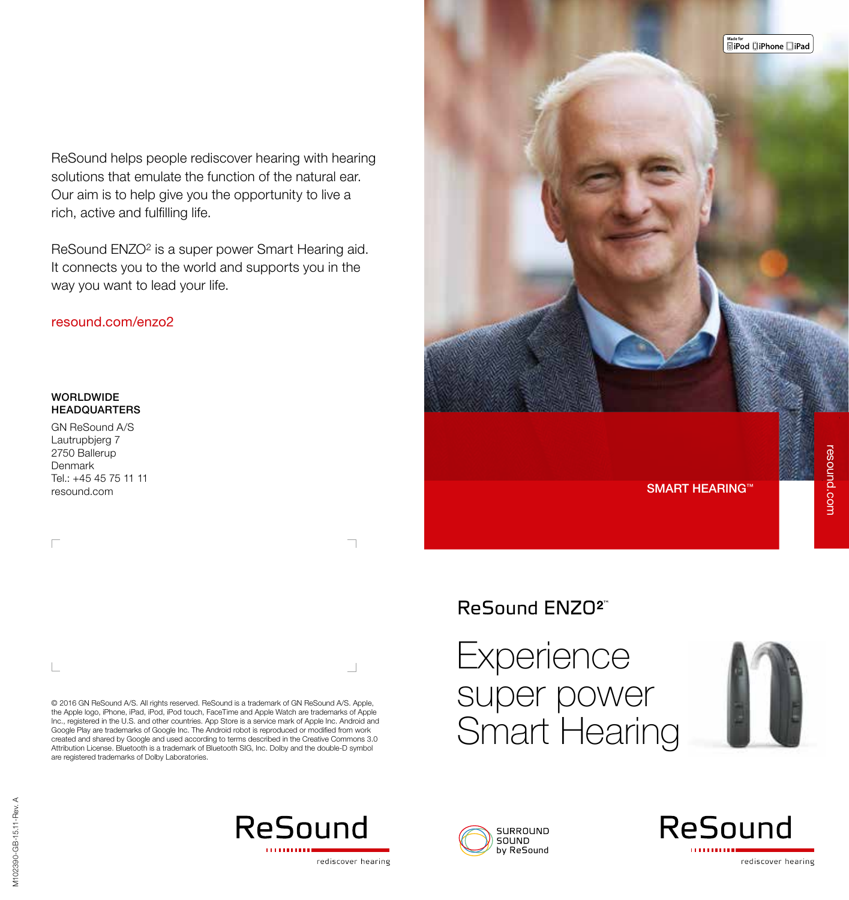ReSound helps people rediscover hearing with hearing solutions that emulate the function of the natural ear. Our aim is to help give you the opportunity to live a rich, active and fulfilling life.

ReSound ENZO<sup>2</sup> is a super power Smart Hearing aid. It connects you to the world and supports you in the way you want to lead your life.

#### resound.com/enzo2

#### WORLDWIDE HEADQUARTERS

GN ReSound A/S Lautrupbjerg 7 2750 Ballerup Denmark Tel.: +45 45 75 11 11

 $\Box$ 

© 2016 GN ReSound A/S. All rights reserved. ReSound is a trademark of GN ReSound A/S. Apple, the Apple logo, iPhone, iPad, iPod, iPod touch, FaceTime and Apple Watch are trademarks of Apple Inc., registered in the U.S. and other countries. App Store is a service mark of Apple Inc. Android and Google Play are trademarks of Google Inc. The Android robot is reproduced or modified from work created and shared by Google and used according to terms described in the Creative Commons 3.0 Attribution License. Bluetooth is a trademark of Bluetooth SIG, Inc. Dolby and the double-D symbol are registered trademarks of Dolby Laboratories.



### ReSound ENZO<sup>2"</sup>

# **Experience** super power Smart Hearing





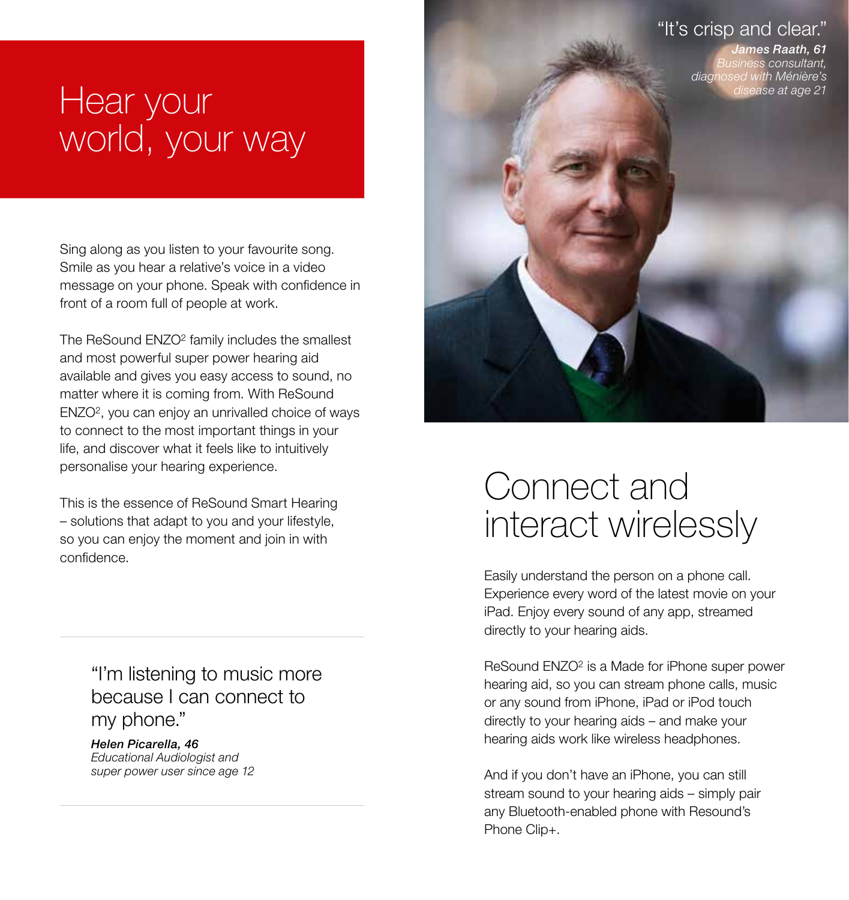### "It's crisp and clear."

James Raath, 61 Business consultant, diagnosed with Ménière's ase at age 21

# Hear your world, your way

Sing along as you listen to your favourite song. Smile as you hear a relative's voice in a video message on your phone. Speak with confidence in front of a room full of people at work.

The ReSound ENZO2 family includes the smallest and most powerful super power hearing aid available and gives you easy access to sound, no matter where it is coming from. With ReSound ENZO2, you can enjoy an unrivalled choice of ways to connect to the most important things in your life, and discover what it feels like to intuitively personalise your hearing experience.

This is the essence of ReSound Smart Hearing – solutions that adapt to you and your lifestyle, so you can enjoy the moment and join in with confidence.

> "I'm listening to music more because I can connect to my phone."

Helen Picarella, 46 Educational Audiologist and super power user since age 12

## Connect and interact wirelessly

Easily understand the person on a phone call. Experience every word of the latest movie on your iPad. Enjoy every sound of any app, streamed directly to your hearing aids.

ReSound ENZO2 is a Made for iPhone super power hearing aid, so you can stream phone calls, music or any sound from iPhone, iPad or iPod touch directly to your hearing aids – and make your hearing aids work like wireless headphones.

And if you don't have an iPhone, you can still stream sound to your hearing aids – simply pair any Bluetooth-enabled phone with Resound's Phone Clip+.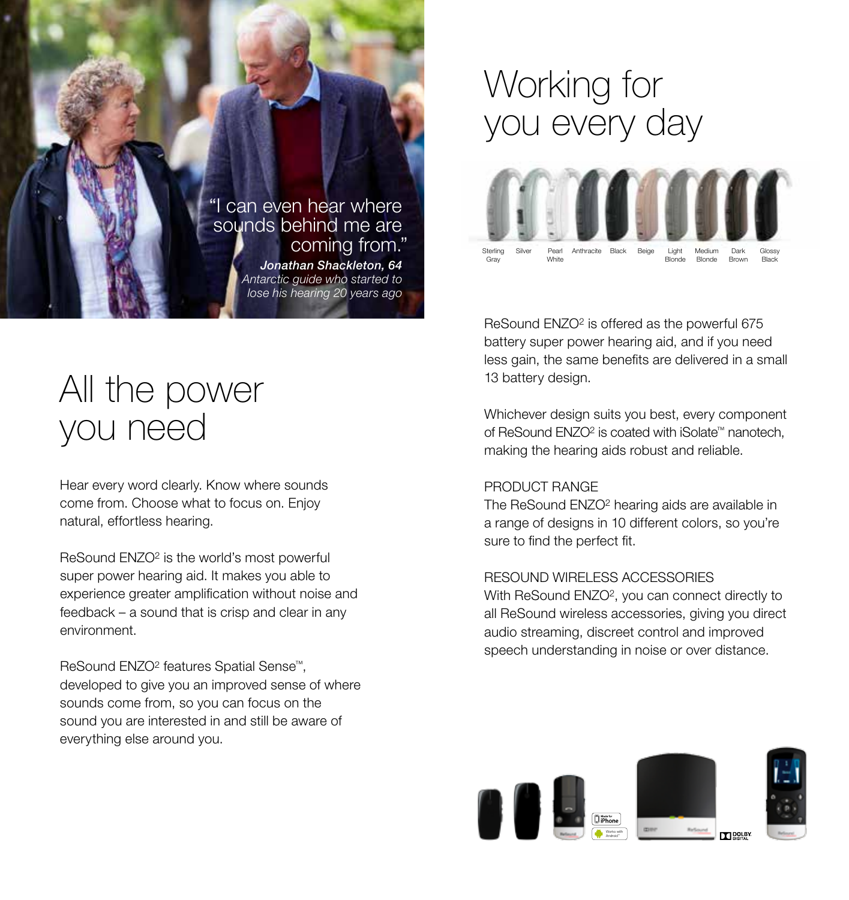

# All the power you need

Hear every word clearly. Know where sounds come from. Choose what to focus on. Enjoy natural, effortless hearing.

ReSound ENZO2 is the world's most powerful super power hearing aid. It makes you able to experience greater amplification without noise and feedback – a sound that is crisp and clear in any environment.

ReSound ENZO2 features Spatial Sense™, developed to give you an improved sense of where sounds come from, so you can focus on the sound you are interested in and still be aware of everything else around you.

## Working for you every day



ReSound ENZO<sup>2</sup> is offered as the powerful 675 battery super power hearing aid, and if you need less gain, the same benefits are delivered in a small 13 battery design.

Whichever design suits you best, every component of ReSound ENZO2 is coated with iSolate™ nanotech, making the hearing aids robust and reliable.

#### PRODUCT RANGE

The ReSound ENZO<sup>2</sup> hearing aids are available in a range of designs in 10 different colors, so you're sure to find the perfect fit.

#### RESOUND WIRELESS ACCESSORIES

With ReSound ENZO<sup>2</sup>, you can connect directly to all ReSound wireless accessories, giving you direct audio streaming, discreet control and improved speech understanding in noise or over distance.